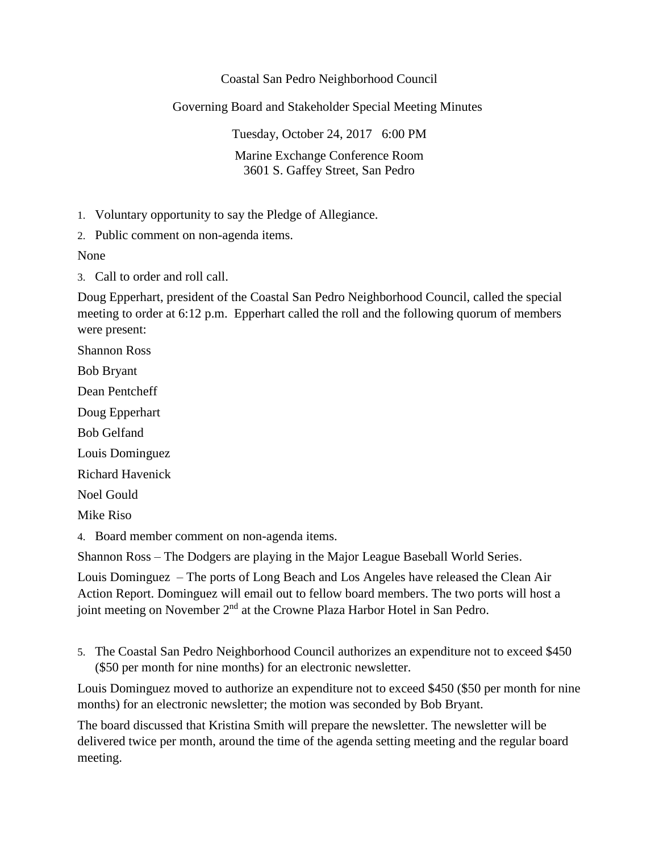## Coastal San Pedro Neighborhood Council

Governing Board and Stakeholder Special Meeting Minutes

Tuesday, October 24, 2017 6:00 PM Marine Exchange Conference Room 3601 S. Gaffey Street, San Pedro

1. Voluntary opportunity to say the Pledge of Allegiance.

2. Public comment on non-agenda items.

None

3. Call to order and roll call.

Doug Epperhart, president of the Coastal San Pedro Neighborhood Council, called the special meeting to order at 6:12 p.m. Epperhart called the roll and the following quorum of members were present:

Shannon Ross

Bob Bryant

Dean Pentcheff

Doug Epperhart

Bob Gelfand

Louis Dominguez

Richard Havenick

Noel Gould

Mike Riso

4. Board member comment on non-agenda items.

Shannon Ross – The Dodgers are playing in the Major League Baseball World Series.

Louis Dominguez – The ports of Long Beach and Los Angeles have released the Clean Air Action Report. Dominguez will email out to fellow board members. The two ports will host a joint meeting on November 2<sup>nd</sup> at the Crowne Plaza Harbor Hotel in San Pedro.

5. The Coastal San Pedro Neighborhood Council authorizes an expenditure not to exceed \$450 (\$50 per month for nine months) for an electronic newsletter.

Louis Dominguez moved to authorize an expenditure not to exceed \$450 (\$50 per month for nine months) for an electronic newsletter; the motion was seconded by Bob Bryant.

The board discussed that Kristina Smith will prepare the newsletter. The newsletter will be delivered twice per month, around the time of the agenda setting meeting and the regular board meeting.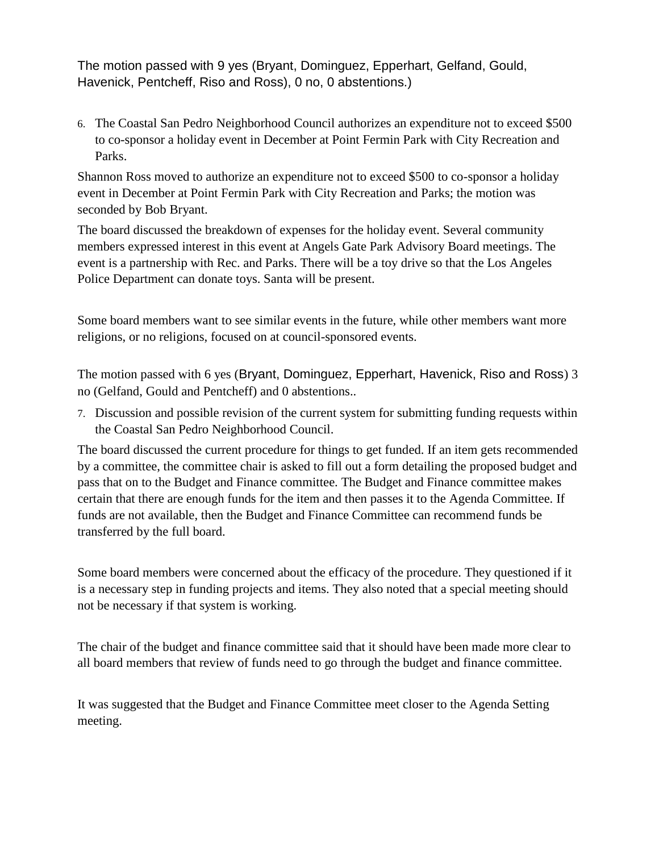The motion passed with 9 yes (Bryant, Dominguez, Epperhart, Gelfand, Gould, Havenick, Pentcheff, Riso and Ross), 0 no, 0 abstentions.)

6. The Coastal San Pedro Neighborhood Council authorizes an expenditure not to exceed \$500 to co-sponsor a holiday event in December at Point Fermin Park with City Recreation and Parks.

Shannon Ross moved to authorize an expenditure not to exceed \$500 to co-sponsor a holiday event in December at Point Fermin Park with City Recreation and Parks; the motion was seconded by Bob Bryant.

The board discussed the breakdown of expenses for the holiday event. Several community members expressed interest in this event at Angels Gate Park Advisory Board meetings. The event is a partnership with Rec. and Parks. There will be a toy drive so that the Los Angeles Police Department can donate toys. Santa will be present.

Some board members want to see similar events in the future, while other members want more religions, or no religions, focused on at council-sponsored events.

The motion passed with 6 yes (Bryant, Dominguez, Epperhart, Havenick, Riso and Ross) 3 no (Gelfand, Gould and Pentcheff) and 0 abstentions..

7. Discussion and possible revision of the current system for submitting funding requests within the Coastal San Pedro Neighborhood Council.

The board discussed the current procedure for things to get funded. If an item gets recommended by a committee, the committee chair is asked to fill out a form detailing the proposed budget and pass that on to the Budget and Finance committee. The Budget and Finance committee makes certain that there are enough funds for the item and then passes it to the Agenda Committee. If funds are not available, then the Budget and Finance Committee can recommend funds be transferred by the full board.

Some board members were concerned about the efficacy of the procedure. They questioned if it is a necessary step in funding projects and items. They also noted that a special meeting should not be necessary if that system is working.

The chair of the budget and finance committee said that it should have been made more clear to all board members that review of funds need to go through the budget and finance committee.

It was suggested that the Budget and Finance Committee meet closer to the Agenda Setting meeting.